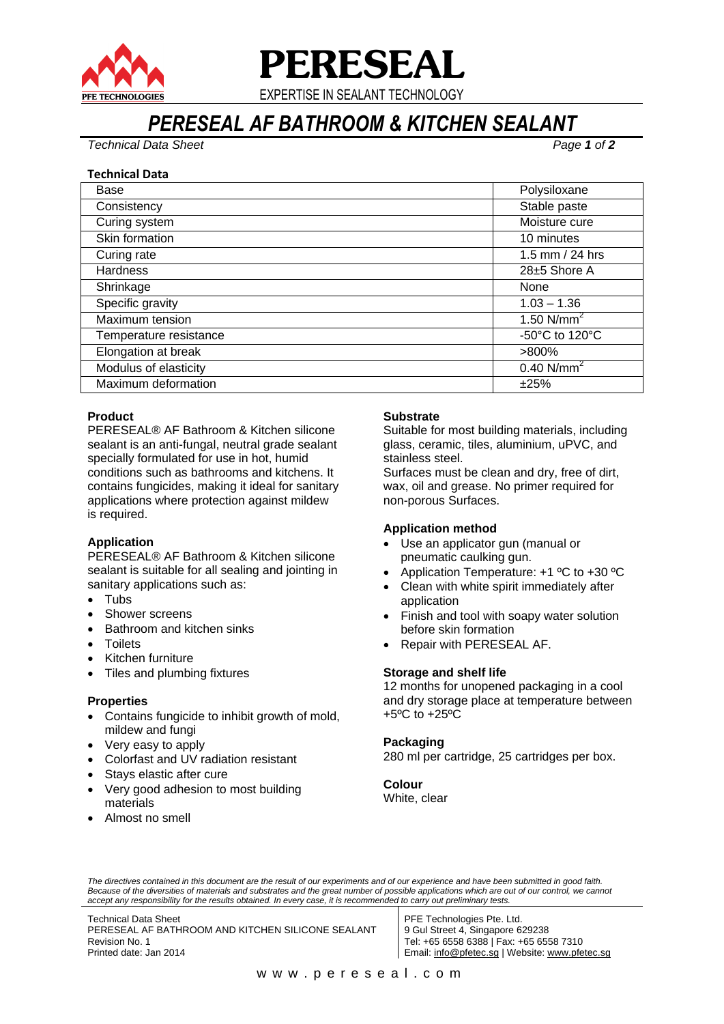

# **PERESEAL**

EXPERTISE IN SEALANT TECHNOLOGY

# *PERESEAL AF BATHROOM & KITCHEN SEALANT*

*Technical Data Sheet Page 1 of 2*

# **Technical Data**

| Base                   | Polysiloxane             |
|------------------------|--------------------------|
| Consistency            | Stable paste             |
| Curing system          | Moisture cure            |
| Skin formation         | 10 minutes               |
| Curing rate            | 1.5 mm / 24 hrs          |
| <b>Hardness</b>        | $28\pm 5$ Shore A        |
| Shrinkage              | None                     |
| Specific gravity       | $1.03 - 1.36$            |
| Maximum tension        | 1.50 $N/mm^2$            |
| Temperature resistance | -50°C to 120°C           |
| Elongation at break    | $>800\%$                 |
| Modulus of elasticity  | $0.40$ N/mm <sup>2</sup> |
| Maximum deformation    | ±25%                     |

# **Product**

PERESEAL® AF Bathroom & Kitchen silicone sealant is an anti-fungal, neutral grade sealant specially formulated for use in hot, humid conditions such as bathrooms and kitchens. It contains fungicides, making it ideal for sanitary applications where protection against mildew is required.

# **Application**

PERESEAL® AF Bathroom & Kitchen silicone sealant is suitable for all sealing and jointing in sanitary applications such as:

- Tubs
- Shower screens
- Bathroom and kitchen sinks
- **Toilets**
- Kitchen furniture
- Tiles and plumbing fixtures

#### **Properties**

- Contains fungicide to inhibit growth of mold, mildew and fungi
- Very easy to apply
- Colorfast and UV radiation resistant
- Stays elastic after cure
- Very good adhesion to most building materials
- Almost no smell

# **Substrate**

Suitable for most building materials, including glass, ceramic, tiles, aluminium, uPVC, and stainless steel.

Surfaces must be clean and dry, free of dirt, wax, oil and grease. No primer required for non-porous Surfaces.

# **Application method**

- Use an applicator gun (manual or pneumatic caulking gun.
- Application Temperature: +1 ºC to +30 ºC
- Clean with white spirit immediately after application
- Finish and tool with soapy water solution before skin formation
- Repair with PERESEAL AF.

#### **Storage and shelf life**

12 months for unopened packaging in a cool and dry storage place at temperature between +5ºC to +25ºC

# **Packaging**

280 ml per cartridge, 25 cartridges per box.

#### **Colour** White, clear

*The directives contained in this document are the result of our experiments and of our experience and have been submitted in good faith.*  Because of the diversities of materials and substrates and the great number of possible applications which are out of our control, we cannot *accept any responsibility for the results obtained. In every case, it is recommended to carry out preliminary tests.*

Technical Data Sheet PERESEAL AF BATHROOM AND KITCHEN SILICONE SEALANT Revision No. 1 Printed date: Jan 2014

PFE Technologies Pte. Ltd. 9 Gul Street 4, Singapore 629238 Tel: +65 6558 6388 | Fax: +65 6558 7310 Email: [info@pfetec.sg](mailto:info@pfetec.sg) | Website: www.pfetec.sg